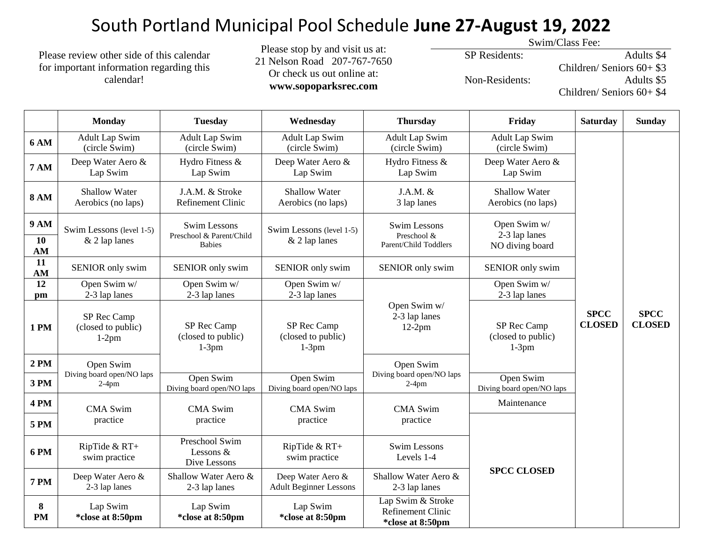## South Portland Municipal Pool Schedule **June 27-August 19, 2022**

Please review other side of this calendar for important information regarding this calendar!

Please stop by and visit us at: 21 Nelson Road 207-767-7650 Or check us out online at: **www.sopoparksrec.com**

Swim/Class Fee:

SP Residents:

Non-Residents:

Adults \$4 Children/ Seniors 60+ \$3 Adults \$5 Children/ Seniors 60+ \$4

|                         | <b>Monday</b>                                      | <b>Tuesday</b>                                                   | Wednesday                                          | <b>Thursday</b>                                                   | Friday                                           | <b>Saturday</b>              | <b>Sunday</b>                |
|-------------------------|----------------------------------------------------|------------------------------------------------------------------|----------------------------------------------------|-------------------------------------------------------------------|--------------------------------------------------|------------------------------|------------------------------|
| <b>6 AM</b>             | <b>Adult Lap Swim</b><br>(circle Swim)             | <b>Adult Lap Swim</b><br>(circle Swim)                           | Adult Lap Swim<br>(circle Swim)                    | <b>Adult Lap Swim</b><br>(circle Swim)                            | <b>Adult Lap Swim</b><br>(circle Swim)           |                              |                              |
| <b>7 AM</b>             | Deep Water Aero &<br>Lap Swim                      | Hydro Fitness &<br>Lap Swim                                      | Deep Water Aero &<br>Lap Swim                      | Hydro Fitness &<br>Lap Swim                                       | Deep Water Aero &<br>Lap Swim                    |                              |                              |
| <b>8 AM</b>             | <b>Shallow Water</b><br>Aerobics (no laps)         | J.A.M. & Stroke<br>Refinement Clinic                             | <b>Shallow Water</b><br>Aerobics (no laps)         | $J.A.M.$ &<br>3 lap lanes                                         | <b>Shallow Water</b><br>Aerobics (no laps)       |                              |                              |
| <b>9 AM</b><br>10<br>AM | Swim Lessons (level 1-5)<br>$&$ 2 lap lanes        | <b>Swim Lessons</b><br>Preschool & Parent/Child<br><b>Babies</b> | Swim Lessons (level 1-5)<br>& 2 lap lanes          | <b>Swim Lessons</b><br>Preschool &<br>Parent/Child Toddlers       | Open Swim w/<br>2-3 lap lanes<br>NO diving board |                              |                              |
| 11<br>AM                | SENIOR only swim                                   | SENIOR only swim                                                 | SENIOR only swim                                   | SENIOR only swim                                                  | SENIOR only swim                                 |                              |                              |
| 12<br>pm                | Open Swim w/<br>2-3 lap lanes                      | Open Swim w/<br>2-3 lap lanes                                    | Open Swim w/<br>2-3 lap lanes                      |                                                                   | Open Swim w/<br>2-3 lap lanes                    |                              |                              |
| <b>1 PM</b>             | SP Rec Camp<br>(closed to public)<br>$1-2$ pm      | SP Rec Camp<br>(closed to public)<br>$1-3pm$                     | SP Rec Camp<br>(closed to public)<br>$1-3$ pm      | Open Swim w/<br>2-3 lap lanes<br>$12-2pm$                         | SP Rec Camp<br>(closed to public)<br>$1-3$ pm    | <b>SPCC</b><br><b>CLOSED</b> | <b>SPCC</b><br><b>CLOSED</b> |
| <b>2 PM</b>             | Open Swim<br>Diving board open/NO laps<br>$2-4$ pm |                                                                  |                                                    | Open Swim<br>Diving board open/NO laps<br>$2-4$ pm                |                                                  |                              |                              |
| 3 PM                    |                                                    | Open Swim<br>Diving board open/NO laps                           | Open Swim<br>Diving board open/NO laps             |                                                                   | Open Swim<br>Diving board open/NO laps           |                              |                              |
| <b>4 PM</b>             | <b>CMA Swim</b><br>practice                        | <b>CMA Swim</b><br>practice                                      | <b>CMA Swim</b><br>practice                        | <b>CMA Swim</b><br>practice                                       | Maintenance                                      |                              |                              |
| <b>5 PM</b>             |                                                    |                                                                  |                                                    |                                                                   |                                                  |                              |                              |
| <b>6 PM</b>             | RipTide & RT+<br>swim practice                     | Preschool Swim<br>Lessons $&$<br>Dive Lessons                    | RipTide & RT+<br>swim practice                     | <b>Swim Lessons</b><br>Levels 1-4                                 | <b>SPCC CLOSED</b>                               |                              |                              |
| <b>7 PM</b>             | Deep Water Aero &<br>2-3 lap lanes                 | Shallow Water Aero &<br>2-3 lap lanes                            | Deep Water Aero &<br><b>Adult Beginner Lessons</b> | Shallow Water Aero &<br>2-3 lap lanes                             |                                                  |                              |                              |
| 8<br>PM                 | Lap Swim<br>*close at 8:50pm                       | Lap Swim<br>*close at 8:50pm                                     | Lap Swim<br>*close at 8:50pm                       | Lap Swim & Stroke<br><b>Refinement Clinic</b><br>*close at 8:50pm |                                                  |                              |                              |